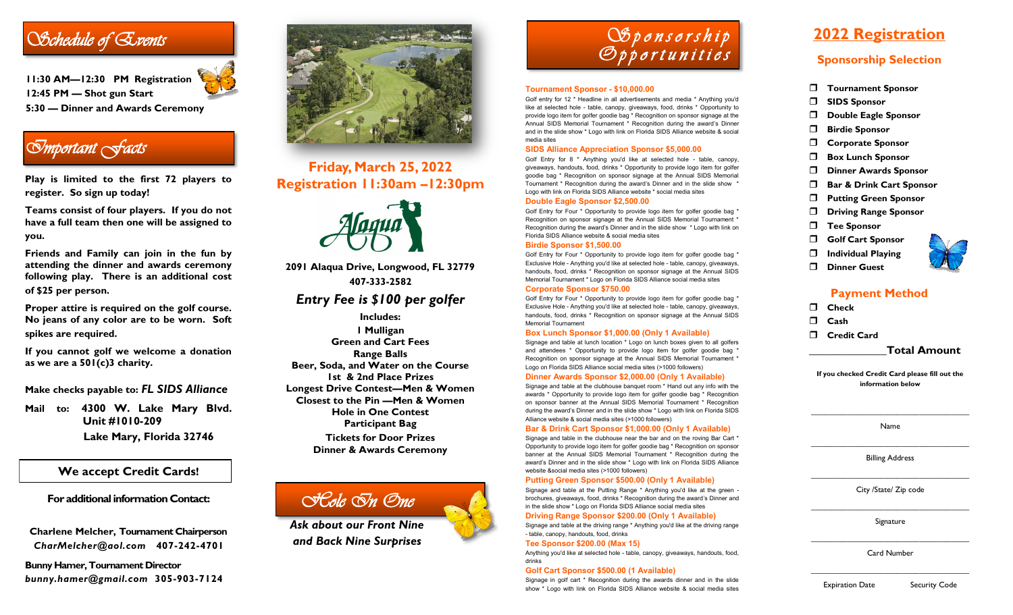# *Schedule of Events*

**11:30 AM—12:30 PM Registration 12:45 PM — Shot gun Start 5:30 — Dinner and Awards Ceremony**

# *Important Facts*

**Play is limited to the first 72 players to register. So sign up today!**

**Teams consist of four players. If you do not have a full team then one will be assigned to you.**

**Friends and Family can join in the fun by attending the dinner and awards ceremony following play. There is an additional cost of \$25 per person.**

**Proper attire is required on the golf course. No jeans of any color are to be worn. Soft spikes are required.**

**If you cannot golf we welcome a donation as we are a 501(c)3 charity.**

**Make checks payable to:** *FL SIDS Alliance*

**Mail to: 4300 W. Lake Mary Blvd. Unit #1010-209 Lake Mary, Florida 32746**

### **We accept Credit Cards!**

**For additional information Contact:**

**Charlene Melcher, Tournament Chairperson** *CharMelcher@aol.com* **407-242-4701**

**Bunny Hamer, Tournament Director** *bunny.hamer@gmail.com* **305-903-7124**



# **Friday, March 25, 2022 Registration 11:30am –12:30pm**



**2091 Alaqua Drive, Longwood, FL 32779 407-333-2582**

## *Entry Fee is \$100 per golfer*

**Includes: 1 Mulligan Green and Cart Fees Range Balls Beer, Soda, and Water on the Course 1st & 2nd Place Prizes Longest Drive Contest—Men & Women Closest to the Pin —Men & Women Hole in One Contest Participant Bag Tickets for Door Prizes Dinner & Awards Ceremony**

# *Hole In One*

*Ask about our Front Nine and Back Nine Surprises*



#### **Tournament Sponsor - \$10,000.00**

Golf entry for 12 \* Headline in all advertisements and media \* Anything you'd like at selected hole - table, canopy, giveaways, food, drinks \* Opportunity to provide logo item for golfer goodie bag \* Recognition on sponsor signage at the Annual SIDS Memorial Tournament \* Recognition during the award's Dinner and in the slide show \* Logo with link on Florida SIDS Alliance website & social media sites

#### **SIDS Alliance Appreciation Sponsor \$5,000.00**

Golf Entry for 8 \* Anything you'd like at selected hole - table, canopy, giveaways, handouts, food, drinks \* Opportunity to provide logo item for golfer goodie bag \* Recognition on sponsor signage at the Annual SIDS Memorial Tournament \* Recognition during the award's Dinner and in the slide show \* Logo with link on Florida SIDS Alliance website \* social media sites

#### **Double Eagle Sponsor \$2,500.00**

Golf Entry for Four \* Opportunity to provide logo item for golfer goodie bag \* Recognition on sponsor signage at the Annual SIDS Memorial Tournament \* Recognition during the award's Dinner and in the slide show \* Logo with link on Florida SIDS Alliance website & social media sites

#### **Birdie Sponsor \$1,500.00**

Golf Entry for Four \* Opportunity to provide logo item for golfer goodie bag \* Exclusive Hole - Anything you'd like at selected hole - table, canopy, giveaways, handouts, food, drinks \* Recognition on sponsor signage at the Annual SIDS Memorial Tournament \* Logo on Florida SIDS Alliance social media sites

#### **Corporate Sponsor \$750.00**

Golf Entry for Four \* Opportunity to provide logo item for golfer goodie bag \* Exclusive Hole - Anything you'd like at selected hole - table, canopy, giveaways, handouts, food, drinks \* Recognition on sponsor signage at the Annual SIDS Memorial Tournament

#### **Box Lunch Sponsor \$1,000.00 (Only 1 Available)**

Signage and table at lunch location \* Logo on lunch boxes given to all golfers and attendees \* Opportunity to provide logo item for golfer goodie bag \* Recognition on sponsor signage at the Annual SIDS Memorial Tournament \* Logo on Florida SIDS Alliance social media sites (>1000 followers)

#### **Dinner Awards Sponsor \$2,000.00 (Only 1 Available)**

Signage and table at the clubhouse banquet room \* Hand out any info with the awards \* Opportunity to provide logo item for golfer goodie bag \* Recognition on sponsor banner at the Annual SIDS Memorial Tournament \* Recognition during the award's Dinner and in the slide show \* Logo with link on Florida SIDS Alliance website & social media sites (>1000 followers)

#### **Bar & Drink Cart Sponsor \$1,000.00 (Only 1 Available)**

Signage and table in the clubhouse near the bar and on the roving Bar Cart \* Opportunity to provide logo item for golfer goodie bag \* Recognition on sponsor banner at the Annual SIDS Memorial Tournament \* Recognition during the award's Dinner and in the slide show \* Logo with link on Florida SIDS Alliance website &social media sites (>1000 followers)

#### **Putting Green Sponsor \$500.00 (Only 1 Available)**

Signage and table at the Putting Range \* Anything you'd like at the green brochures, giveaways, food, drinks \* Recognition during the award's Dinner and in the slide show \* Logo on Florida SIDS Alliance social media sites

#### **Driving Range Sponsor \$200.00 (Only 1 Available)**

Signage and table at the driving range \* Anything you'd like at the driving range - table, canopy, handouts, food, drinks

#### **Tee Sponsor \$200.00 (Max 15)**

Anything you'd like at selected hole - table, canopy, giveaways, handouts, food, drinks

#### **Golf Cart Sponsor \$500.00 (1 Available)**

Signage in golf cart \* Recognition during the awards dinner and in the slide show \* Logo with link on Florida SIDS Alliance website & social media sites

# **2022 Registration**

## **Sponsorship Selection**

- **Tournament Sponsor**
- **SIDS Sponsor**
- **Double Eagle Sponsor**
- **Birdie Sponsor**
- **Corporate Sponsor**
- **Box Lunch Sponsor**
- **Dinner Awards Sponsor**
- **Bar & Drink Cart Sponsor**
- **Putting Green Sponsor**
- **Driving Range Sponsor**
- **Tee Sponsor**
- **Golf Cart Sponsor**
- **Individual Playing**
- **Dinner Guest**

### **Payment Method**

- **Check**
- **Cash**
	- **Credit Card**

**\_\_\_\_\_\_\_\_\_\_\_\_\_\_Total Amount**

**If you checked Credit Card please fill out the information below**

**\_\_\_\_\_\_\_\_\_\_\_\_\_\_\_\_\_\_\_\_\_\_\_\_\_\_\_\_\_\_\_\_\_\_\_** Name **\_\_\_\_\_\_\_\_\_\_\_\_\_\_\_\_\_\_\_\_\_\_\_\_\_\_\_\_\_\_\_\_\_\_\_**

Billing Address

**\_\_\_\_\_\_\_\_\_\_\_\_\_\_\_\_\_\_\_\_\_\_\_\_\_\_\_\_\_\_\_\_\_\_\_** City /State/ Zip code

**\_\_\_\_\_\_\_\_\_\_\_\_\_\_\_\_\_\_\_\_\_\_\_\_\_\_\_\_\_\_\_\_\_\_\_** Signature

**\_\_\_\_\_\_\_\_\_\_\_\_\_\_\_\_\_\_\_\_\_\_\_\_\_\_\_\_\_\_\_\_\_\_\_** Card Number